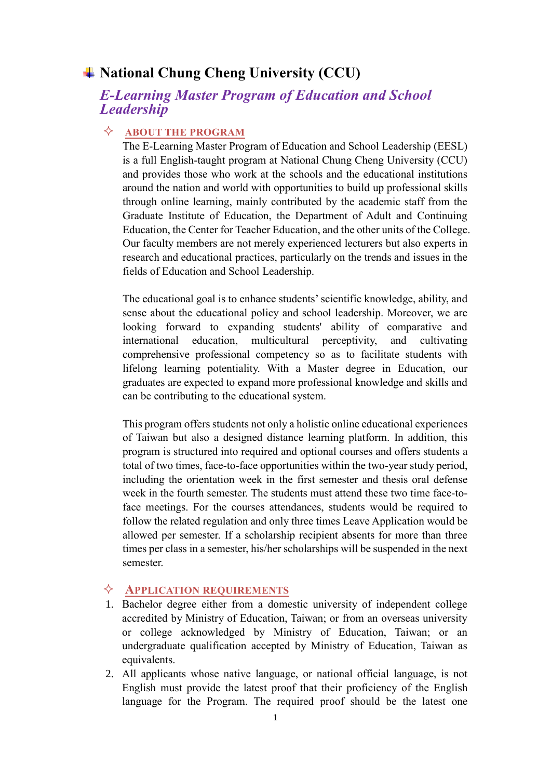## **National Chung Cheng University (CCU)**

## *E-Learning Master Program of Education and School Leadership*

#### **ABOUT THE PROGRAM**

The E-Learning Master Program of Education and School Leadership (EESL) is a full English-taught program at National Chung Cheng University (CCU) and provides those who work at the schools and the educational institutions around the nation and world with opportunities to build up professional skills through online learning, mainly contributed by the academic staff from the Graduate Institute of Education, the Department of Adult and Continuing Education, the Center for Teacher Education, and the other units of the College. Our faculty members are not merely experienced lecturers but also experts in research and educational practices, particularly on the trends and issues in the fields of Education and School Leadership.

The educational goal is to enhance students' scientific knowledge, ability, and sense about the educational policy and school leadership. Moreover, we are looking forward to expanding students' ability of comparative and international education, multicultural perceptivity, and cultivating comprehensive professional competency so as to facilitate students with lifelong learning potentiality. With a Master degree in Education, our graduates are expected to expand more professional knowledge and skills and can be contributing to the educational system.

This program offers students not only a holistic online educational experiences of Taiwan but also a designed distance learning platform. In addition, this program is structured into required and optional courses and offers students a total of two times, face-to-face opportunities within the two-year study period, including the orientation week in the first semester and thesis oral defense week in the fourth semester. The students must attend these two time face-toface meetings. For the courses attendances, students would be required to follow the related regulation and only three times Leave Application would be allowed per semester. If a scholarship recipient absents for more than three times per class in a semester, his/her scholarships will be suspended in the next semester.

#### **APPLICATION REQUIREMENTS**

- 1. Bachelor degree either from a domestic university of independent college accredited by Ministry of Education, Taiwan; or from an overseas university or college acknowledged by Ministry of Education, Taiwan; or an undergraduate qualification accepted by Ministry of Education, Taiwan as equivalents.
- 2. All applicants whose native language, or national official language, is not English must provide the latest proof that their proficiency of the English language for the Program. The required proof should be the latest one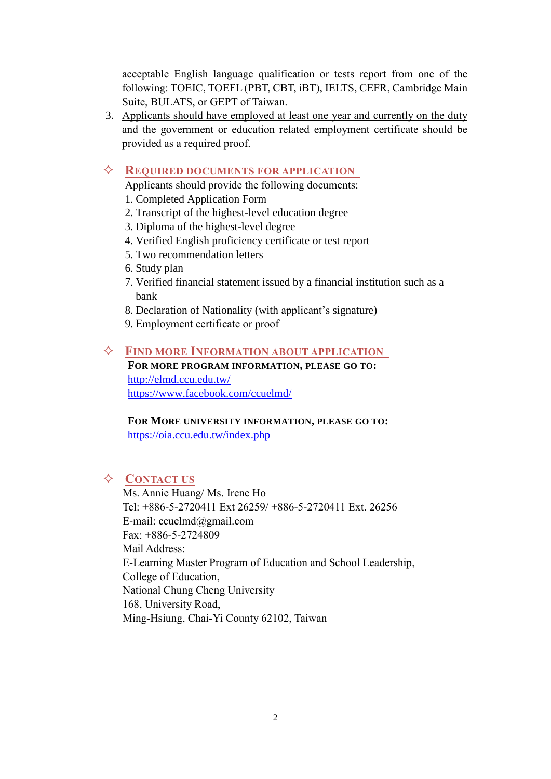acceptable English language qualification or tests report from one of the following: TOEIC, TOEFL (PBT, CBT, iBT), IELTS, CEFR, Cambridge Main Suite, BULATS, or GEPT of Taiwan.

3. Applicants should have employed at least one year and currently on the duty and the government or education related employment certificate should be provided as a required proof.

#### **REQUIRED DOCUMENTS FOR APPLICATION**

Applicants should provide the following documents:

- 1. Completed Application Form
- 2. Transcript of the highest-level education degree
- 3. Diploma of the highest-level degree
- 4. Verified English proficiency certificate or test report
- 5. Two recommendation letters
- 6. Study plan
- 7. Verified financial statement issued by a financial institution such as a bank
- 8. Declaration of Nationality (with applicant's signature)
- 9. Employment certificate or proof

#### **FIND MORE INFORMATION ABOUT APPLICATION**

**FOR MORE PROGRAM INFORMATION, PLEASE GO TO:** <http://elmd.ccu.edu.tw/> <https://www.facebook.com/ccuelmd/>

**FOR MORE UNIVERSITY INFORMATION, PLEASE GO TO:** <https://oia.ccu.edu.tw/index.php>

#### **CONTACT US**

Ms. Annie Huang/ Ms. Irene Ho Tel: +886-5-2720411 Ext 26259/ +886-5-2720411 Ext. 26256 E-mail: [ccuelmd@gmail.com](mailto:ccuelmd@gmail.com) Fax: +886-5-2724809 Mail Address: E-Learning Master Program of Education and School Leadership, College of Education, National Chung Cheng University 168, University Road, Ming-Hsiung, Chai-Yi County 62102, Taiwan